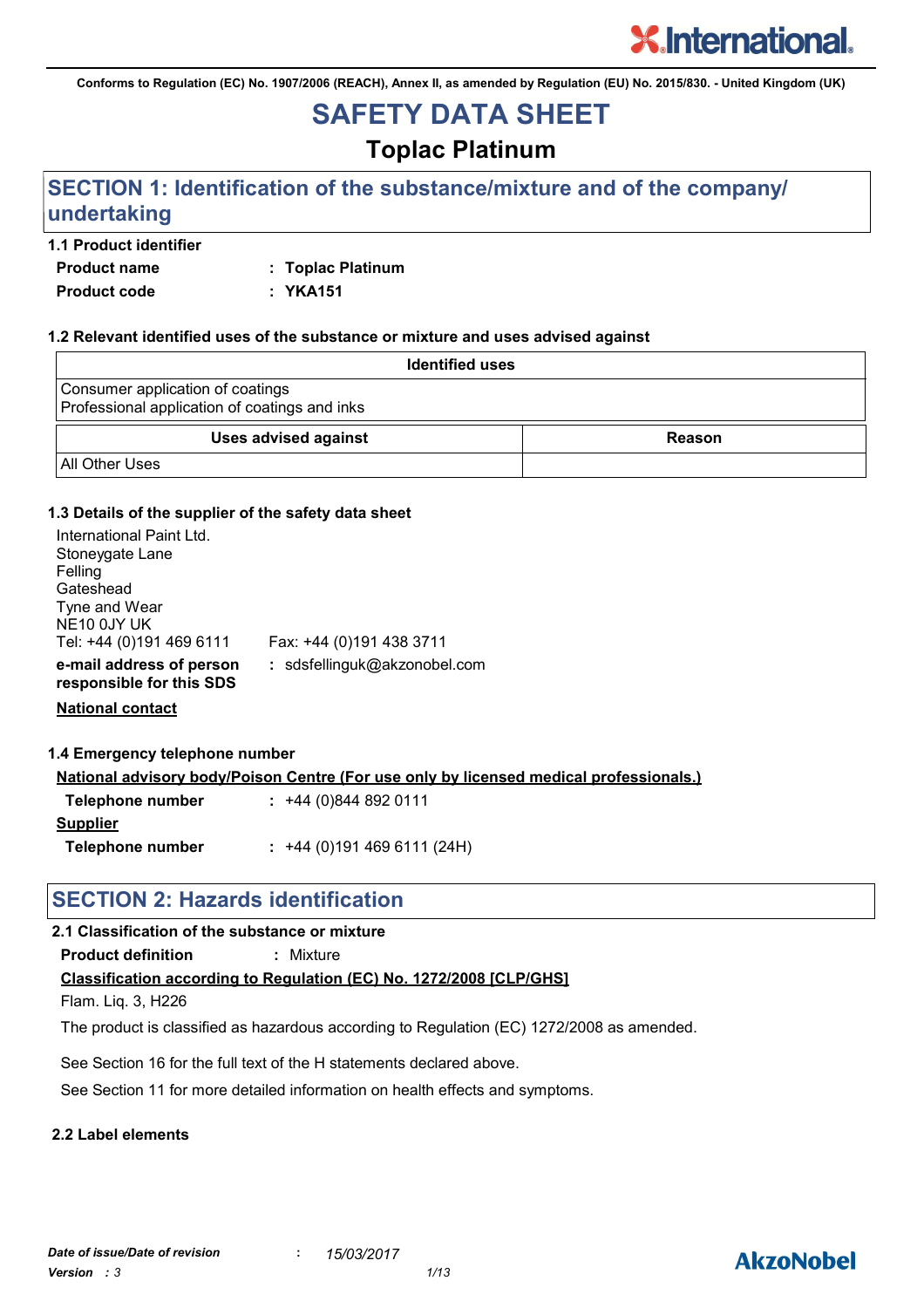**Conforms to Regulation (EC) No. 1907/2006 (REACH), Annex II, as amended by Regulation (EU) No. 2015/830. - United Kingdom (UK)**

## **SAFETY DATA SHEET**

### **Toplac Platinum**

### **SECTION 1: Identification of the substance/mixture and of the company/ undertaking**

### **1.1 Product identifier**

**Product name : Toplac Platinum Product code : YKA151**

#### **1.2 Relevant identified uses of the substance or mixture and uses advised against**

| <b>Identified uses</b>                                                            |        |
|-----------------------------------------------------------------------------------|--------|
| Consumer application of coatings<br>Professional application of coatings and inks |        |
| <b>Uses advised against</b>                                                       | Reason |
| <b>All Other Uses</b>                                                             |        |

#### **1.3 Details of the supplier of the safety data sheet**

| International Paint Ltd.<br>Stoneygate Lane<br>Felling |                              |
|--------------------------------------------------------|------------------------------|
| Gateshead                                              |                              |
| Tyne and Wear                                          |                              |
| NE10 0JY UK                                            |                              |
| Tel: +44 (0)191 469 6111                               | Fax: +44 (0)191 438 3711     |
| e-mail address of person<br>responsible for this SDS   | : sdsfellinguk@akzonobel.com |

**National contact**

#### **1.4 Emergency telephone number**

**National advisory body/Poison Centre (For use only by licensed medical professionals.)**

| Telephone number | $: +44(0)8448920111$      |
|------------------|---------------------------|
| <b>Supplier</b>  |                           |
| Telephone number | $: +44(0)1914696111(24H)$ |

### **SECTION 2: Hazards identification**

### **2.1 Classification of the substance or mixture**

**Product definition :** Mixture

### **Classification according to Regulation (EC) No. 1272/2008 [CLP/GHS]**

Flam. Liq. 3, H226

The product is classified as hazardous according to Regulation (EC) 1272/2008 as amended.

See Section 16 for the full text of the H statements declared above.

See Section 11 for more detailed information on health effects and symptoms.

### **2.2 Label elements**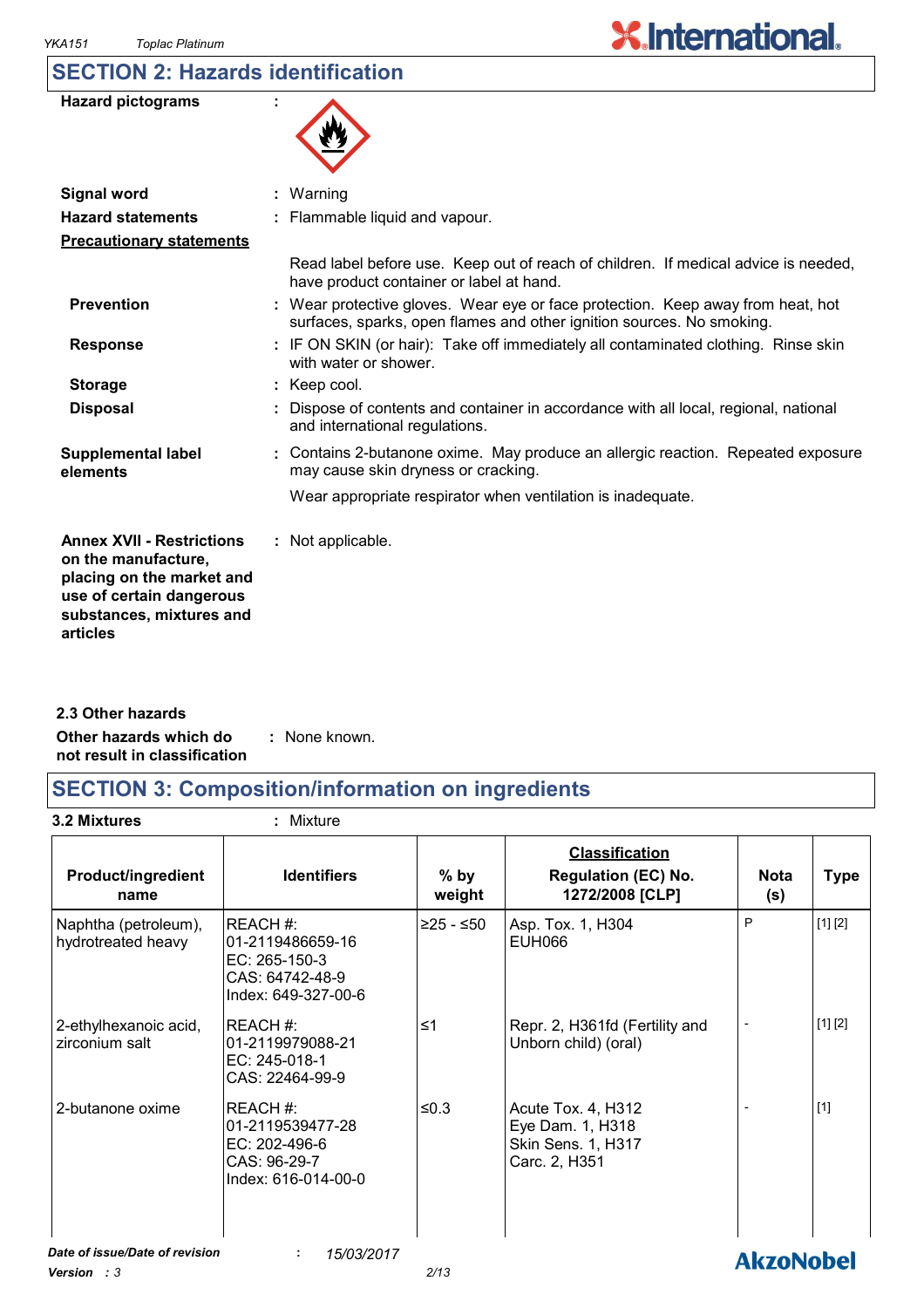## **SECTION 2: Hazards identification**

| <b>Hazard pictograms</b>                                                                                                                                 |                                                                                                                                                          |
|----------------------------------------------------------------------------------------------------------------------------------------------------------|----------------------------------------------------------------------------------------------------------------------------------------------------------|
| <b>Signal word</b>                                                                                                                                       | Warning<br>÷.                                                                                                                                            |
| <b>Hazard statements</b>                                                                                                                                 | : Flammable liquid and vapour.                                                                                                                           |
| <b>Precautionary statements</b>                                                                                                                          |                                                                                                                                                          |
|                                                                                                                                                          | Read label before use. Keep out of reach of children. If medical advice is needed,<br>have product container or label at hand.                           |
| <b>Prevention</b>                                                                                                                                        | : Wear protective gloves. Wear eye or face protection. Keep away from heat, hot<br>surfaces, sparks, open flames and other ignition sources. No smoking. |
| <b>Response</b>                                                                                                                                          | : IF ON SKIN (or hair): Take off immediately all contaminated clothing. Rinse skin<br>with water or shower.                                              |
| <b>Storage</b>                                                                                                                                           | : Keep cool.                                                                                                                                             |
| <b>Disposal</b>                                                                                                                                          | Dispose of contents and container in accordance with all local, regional, national<br>and international regulations.                                     |
| <b>Supplemental label</b><br>elements                                                                                                                    | : Contains 2-butanone oxime. May produce an allergic reaction. Repeated exposure<br>may cause skin dryness or cracking.                                  |
|                                                                                                                                                          | Wear appropriate respirator when ventilation is inadequate.                                                                                              |
| <b>Annex XVII - Restrictions</b><br>on the manufacture,<br>placing on the market and<br>use of certain dangerous<br>substances, mixtures and<br>articles | : Not applicable.                                                                                                                                        |

| 2.3 Other hazards            |               |  |
|------------------------------|---------------|--|
| Other hazards which do       | : None known. |  |
| not result in classification |               |  |

### **SECTION 3: Composition/information on ingredients**

**3.2 Mixtures :** Mixture

| <b>Product/ingredient</b><br>name          | <b>Identifiers</b>                                                                      | $%$ by<br>weight | <b>Classification</b><br><b>Regulation (EC) No.</b><br>1272/2008 [CLP]        | <b>Nota</b><br>(s) | <b>Type</b> |
|--------------------------------------------|-----------------------------------------------------------------------------------------|------------------|-------------------------------------------------------------------------------|--------------------|-------------|
| Naphtha (petroleum),<br>hydrotreated heavy | REACH#:<br>l01-2119486659-16<br>EC: 265-150-3<br>CAS: 64742-48-9<br>Index: 649-327-00-6 | ≥25 - ≤50        | Asp. Tox. 1, H304<br><b>EUH066</b>                                            | P                  | [1] [2]     |
| 2-ethylhexanoic acid,<br>zirconium salt    | IREACH #:<br>01-2119979088-21<br>EC: 245-018-1<br>CAS: 22464-99-9                       | ≤1               | Repr. 2, H361fd (Fertility and<br>Unborn child) (oral)                        |                    | [1] [2]     |
| 2-butanone oxime                           | IREACH #:<br>01-2119539477-28<br>EC: 202-496-6<br>CAS: 96-29-7<br>Index: 616-014-00-0   | $≤0.3$           | Acute Tox. 4, H312<br>Eye Dam. 1, H318<br>Skin Sens. 1, H317<br>Carc. 2, H351 |                    | $[1]$       |
| Date of issue/Date of revision             | 15/03/2017                                                                              |                  |                                                                               | <b>Almablahal</b>  |             |

*Version : 3 2/13*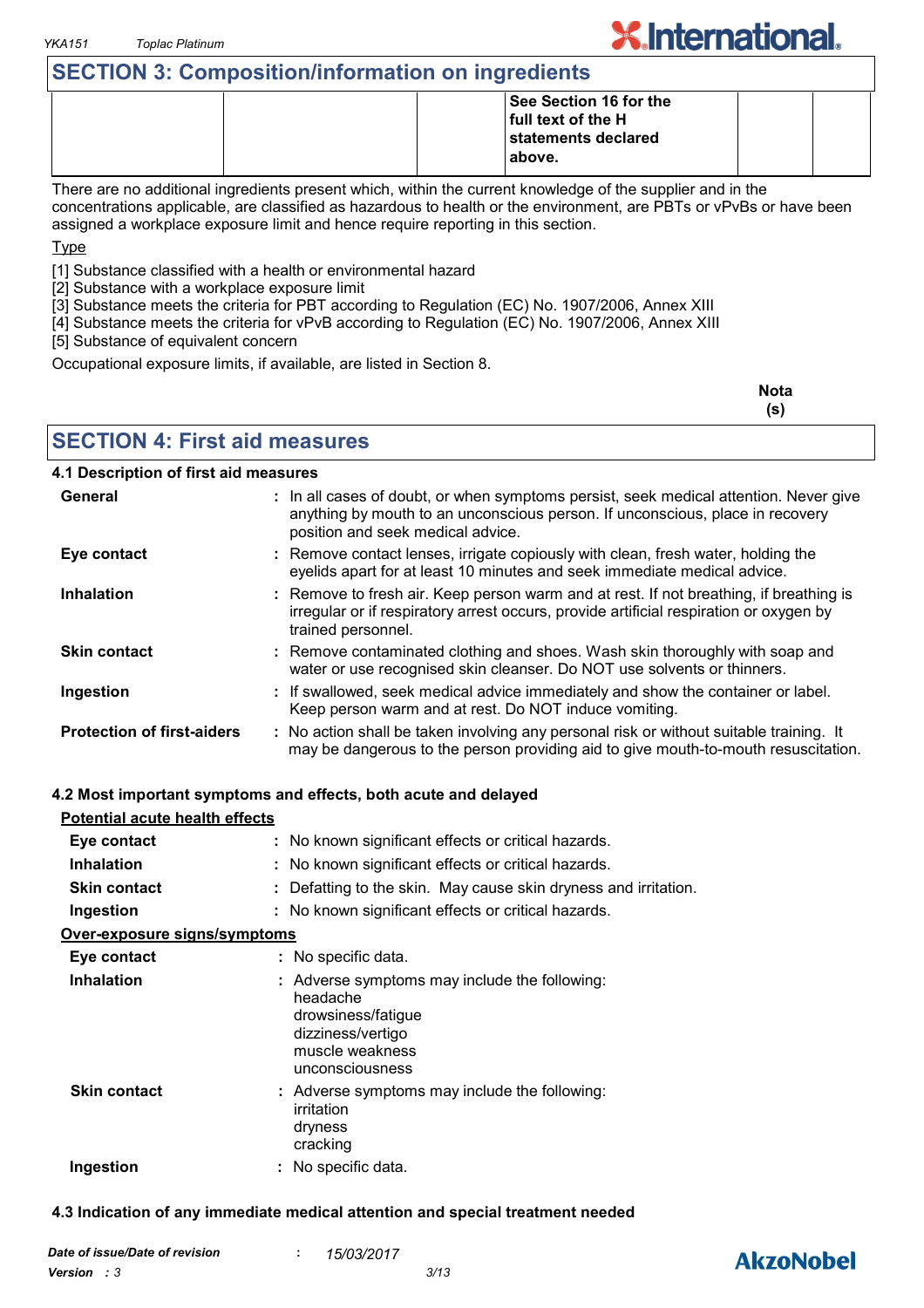### **SECTION 3: Composition/information on ingredients**

|  | See Section 16 for the |  |
|--|------------------------|--|
|  | full text of the H     |  |
|  | statements declared    |  |
|  | above.                 |  |
|  |                        |  |

There are no additional ingredients present which, within the current knowledge of the supplier and in the concentrations applicable, are classified as hazardous to health or the environment, are PBTs or vPvBs or have been assigned a workplace exposure limit and hence require reporting in this section.

Type

[1] Substance classified with a health or environmental hazard

[2] Substance with a workplace exposure limit

[3] Substance meets the criteria for PBT according to Regulation (EC) No. 1907/2006, Annex XIII

[4] Substance meets the criteria for vPvB according to Regulation (EC) No. 1907/2006, Annex XIII

[5] Substance of equivalent concern

Occupational exposure limits, if available, are listed in Section 8.

| <b>Nota</b> |
|-------------|
| (s)         |

**X.International.** 

**SECTION 4: First aid measures**

### **4.1 Description of first aid measures**

| General                           | : In all cases of doubt, or when symptoms persist, seek medical attention. Never give<br>anything by mouth to an unconscious person. If unconscious, place in recovery<br>position and seek medical advice. |
|-----------------------------------|-------------------------------------------------------------------------------------------------------------------------------------------------------------------------------------------------------------|
| Eye contact                       | : Remove contact lenses, irrigate copiously with clean, fresh water, holding the<br>eyelids apart for at least 10 minutes and seek immediate medical advice.                                                |
| <b>Inhalation</b>                 | : Remove to fresh air. Keep person warm and at rest. If not breathing, if breathing is<br>irregular or if respiratory arrest occurs, provide artificial respiration or oxygen by<br>trained personnel.      |
| <b>Skin contact</b>               | : Remove contaminated clothing and shoes. Wash skin thoroughly with soap and<br>water or use recognised skin cleanser. Do NOT use solvents or thinners.                                                     |
| Ingestion                         | : If swallowed, seek medical advice immediately and show the container or label.<br>Keep person warm and at rest. Do NOT induce vomiting.                                                                   |
| <b>Protection of first-aiders</b> | : No action shall be taken involving any personal risk or without suitable training. It<br>may be dangerous to the person providing aid to give mouth-to-mouth resuscitation.                               |

#### **4.2 Most important symptoms and effects, both acute and delayed**

| Potential acute health effects |                                                                                                                                            |
|--------------------------------|--------------------------------------------------------------------------------------------------------------------------------------------|
| Eye contact                    | : No known significant effects or critical hazards.                                                                                        |
| <b>Inhalation</b>              | : No known significant effects or critical hazards.                                                                                        |
| <b>Skin contact</b>            | : Defatting to the skin. May cause skin dryness and irritation.                                                                            |
| Ingestion                      | : No known significant effects or critical hazards.                                                                                        |
| Over-exposure signs/symptoms   |                                                                                                                                            |
| Eye contact                    | : No specific data.                                                                                                                        |
| <b>Inhalation</b>              | : Adverse symptoms may include the following:<br>headache<br>drowsiness/fatigue<br>dizziness/vertigo<br>muscle weakness<br>unconsciousness |
| <b>Skin contact</b>            | : Adverse symptoms may include the following:<br>irritation<br>dryness<br>cracking                                                         |
| Ingestion                      | : No specific data.                                                                                                                        |

#### **4.3 Indication of any immediate medical attention and special treatment needed**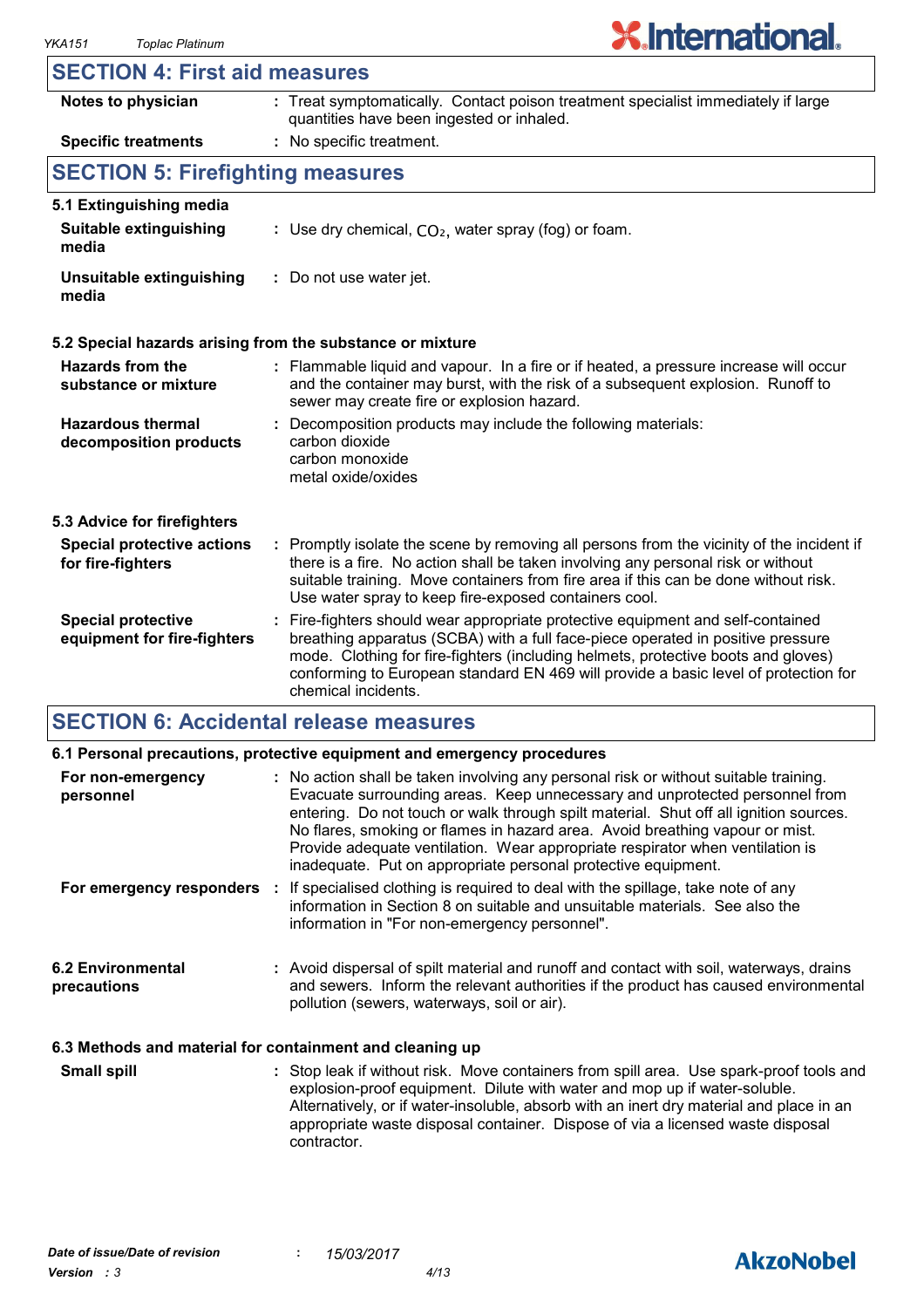### **SECTION 4: First aid measures**

| Notes to physician                                       | : Treat symptomatically. Contact poison treatment specialist immediately if large<br>quantities have been ingested or inhaled.                                                                                                                                                                                                                                      |
|----------------------------------------------------------|---------------------------------------------------------------------------------------------------------------------------------------------------------------------------------------------------------------------------------------------------------------------------------------------------------------------------------------------------------------------|
| <b>Specific treatments</b>                               | : No specific treatment.                                                                                                                                                                                                                                                                                                                                            |
| <b>SECTION 5: Firefighting measures</b>                  |                                                                                                                                                                                                                                                                                                                                                                     |
| 5.1 Extinguishing media                                  |                                                                                                                                                                                                                                                                                                                                                                     |
| <b>Suitable extinguishing</b><br>media                   | : Use dry chemical, $CO2$ , water spray (fog) or foam.                                                                                                                                                                                                                                                                                                              |
| Unsuitable extinguishing<br>media                        | : Do not use water jet.                                                                                                                                                                                                                                                                                                                                             |
|                                                          | 5.2 Special hazards arising from the substance or mixture                                                                                                                                                                                                                                                                                                           |
| Hazards from the<br>substance or mixture                 | : Flammable liquid and vapour. In a fire or if heated, a pressure increase will occur<br>and the container may burst, with the risk of a subsequent explosion. Runoff to<br>sewer may create fire or explosion hazard.                                                                                                                                              |
| <b>Hazardous thermal</b><br>decomposition products       | Decomposition products may include the following materials:<br>carbon dioxide<br>carbon monoxide<br>metal oxide/oxides                                                                                                                                                                                                                                              |
| 5.3 Advice for firefighters                              |                                                                                                                                                                                                                                                                                                                                                                     |
| <b>Special protective actions</b><br>for fire-fighters   | : Promptly isolate the scene by removing all persons from the vicinity of the incident if<br>there is a fire. No action shall be taken involving any personal risk or without<br>suitable training. Move containers from fire area if this can be done without risk.<br>Use water spray to keep fire-exposed containers cool.                                       |
| <b>Special protective</b><br>equipment for fire-fighters | Fire-fighters should wear appropriate protective equipment and self-contained<br>breathing apparatus (SCBA) with a full face-piece operated in positive pressure<br>mode. Clothing for fire-fighters (including helmets, protective boots and gloves)<br>conforming to European standard EN 469 will provide a basic level of protection for<br>chemical incidents. |

### **SECTION 6: Accidental release measures**

|                                                          | 6.1 Personal precautions, protective equipment and emergency procedures                                                                                                                                                                                                                                                                                                                                                                                                                        |  |
|----------------------------------------------------------|------------------------------------------------------------------------------------------------------------------------------------------------------------------------------------------------------------------------------------------------------------------------------------------------------------------------------------------------------------------------------------------------------------------------------------------------------------------------------------------------|--|
| For non-emergency<br>personnel                           | : No action shall be taken involving any personal risk or without suitable training.<br>Evacuate surrounding areas. Keep unnecessary and unprotected personnel from<br>entering. Do not touch or walk through spilt material. Shut off all ignition sources.<br>No flares, smoking or flames in hazard area. Avoid breathing vapour or mist.<br>Provide adequate ventilation. Wear appropriate respirator when ventilation is<br>inadequate. Put on appropriate personal protective equipment. |  |
| For emergency responders                                 | : If specialised clothing is required to deal with the spillage, take note of any<br>information in Section 8 on suitable and unsuitable materials. See also the<br>information in "For non-emergency personnel".                                                                                                                                                                                                                                                                              |  |
| 6.2 Environmental<br>precautions                         | : Avoid dispersal of spilt material and runoff and contact with soil, waterways, drains<br>and sewers. Inform the relevant authorities if the product has caused environmental<br>pollution (sewers, waterways, soil or air).                                                                                                                                                                                                                                                                  |  |
| 6.3 Methods and material for containment and cleaning up |                                                                                                                                                                                                                                                                                                                                                                                                                                                                                                |  |

Stop leak if without risk. Move containers from spill area. Use spark-proof tools and explosion-proof equipment. Dilute with water and mop up if water-soluble. Alternatively, or if water-insoluble, absorb with an inert dry material and place in an appropriate waste disposal container. Dispose of via a licensed waste disposal contractor. **Small spill :**

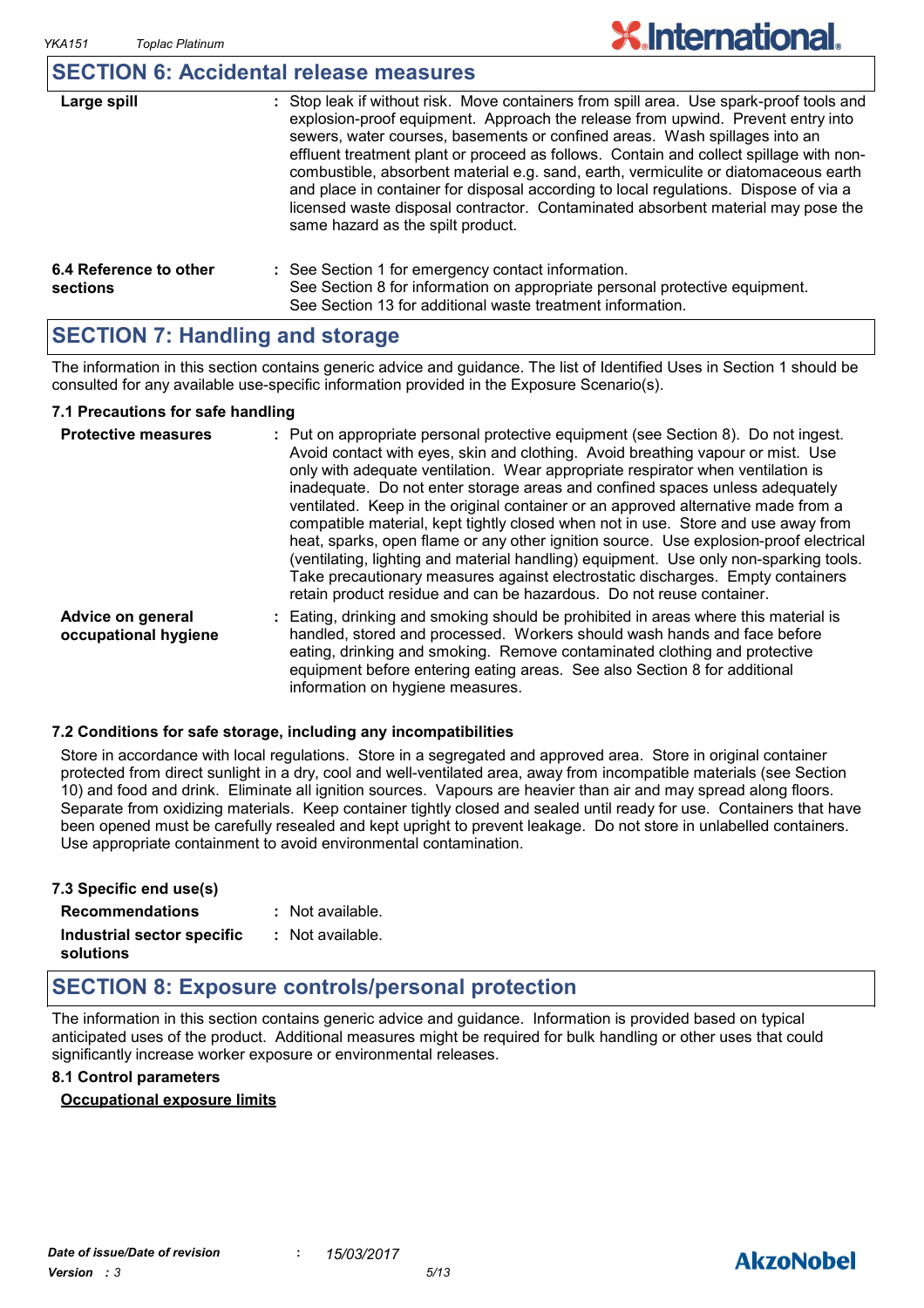### **SECTION 6: Accidental release measures**

| Large spill                        | : Stop leak if without risk. Move containers from spill area. Use spark-proof tools and<br>explosion-proof equipment. Approach the release from upwind. Prevent entry into<br>sewers, water courses, basements or confined areas. Wash spillages into an<br>effluent treatment plant or proceed as follows. Contain and collect spillage with non-<br>combustible, absorbent material e.g. sand, earth, vermiculite or diatomaceous earth<br>and place in container for disposal according to local regulations. Dispose of via a<br>licensed waste disposal contractor. Contaminated absorbent material may pose the<br>same hazard as the spilt product. |
|------------------------------------|------------------------------------------------------------------------------------------------------------------------------------------------------------------------------------------------------------------------------------------------------------------------------------------------------------------------------------------------------------------------------------------------------------------------------------------------------------------------------------------------------------------------------------------------------------------------------------------------------------------------------------------------------------|
| 6.4 Reference to other<br>sections | : See Section 1 for emergency contact information.<br>See Section 8 for information on appropriate personal protective equipment.<br>See Section 13 for additional waste treatment information.                                                                                                                                                                                                                                                                                                                                                                                                                                                            |

### **SECTION 7: Handling and storage**

The information in this section contains generic advice and guidance. The list of Identified Uses in Section 1 should be consulted for any available use-specific information provided in the Exposure Scenario(s).

#### **7.1 Precautions for safe handling**

| <b>Protective measures</b>                | : Put on appropriate personal protective equipment (see Section 8). Do not ingest.<br>Avoid contact with eyes, skin and clothing. Avoid breathing vapour or mist. Use<br>only with adequate ventilation. Wear appropriate respirator when ventilation is<br>inadequate. Do not enter storage areas and confined spaces unless adequately<br>ventilated. Keep in the original container or an approved alternative made from a<br>compatible material, kept tightly closed when not in use. Store and use away from<br>heat, sparks, open flame or any other ignition source. Use explosion-proof electrical<br>(ventilating, lighting and material handling) equipment. Use only non-sparking tools.<br>Take precautionary measures against electrostatic discharges. Empty containers<br>retain product residue and can be hazardous. Do not reuse container. |
|-------------------------------------------|----------------------------------------------------------------------------------------------------------------------------------------------------------------------------------------------------------------------------------------------------------------------------------------------------------------------------------------------------------------------------------------------------------------------------------------------------------------------------------------------------------------------------------------------------------------------------------------------------------------------------------------------------------------------------------------------------------------------------------------------------------------------------------------------------------------------------------------------------------------|
| Advice on general<br>occupational hygiene | : Eating, drinking and smoking should be prohibited in areas where this material is<br>handled, stored and processed. Workers should wash hands and face before<br>eating, drinking and smoking. Remove contaminated clothing and protective<br>equipment before entering eating areas. See also Section 8 for additional<br>information on hygiene measures.                                                                                                                                                                                                                                                                                                                                                                                                                                                                                                  |

#### **7.2 Conditions for safe storage, including any incompatibilities**

Store in accordance with local regulations. Store in a segregated and approved area. Store in original container protected from direct sunlight in a dry, cool and well-ventilated area, away from incompatible materials (see Section 10) and food and drink. Eliminate all ignition sources. Vapours are heavier than air and may spread along floors. Separate from oxidizing materials. Keep container tightly closed and sealed until ready for use. Containers that have been opened must be carefully resealed and kept upright to prevent leakage. Do not store in unlabelled containers. Use appropriate containment to avoid environmental contamination.

| 7.3 Specific end use(s)    |                  |
|----------------------------|------------------|
| <b>Recommendations</b>     | : Not available. |
| Industrial sector specific | : Not available. |
| solutions                  |                  |

### **SECTION 8: Exposure controls/personal protection**

The information in this section contains generic advice and guidance. Information is provided based on typical anticipated uses of the product. Additional measures might be required for bulk handling or other uses that could significantly increase worker exposure or environmental releases.

#### **8.1 Control parameters**

### **Occupational exposure limits**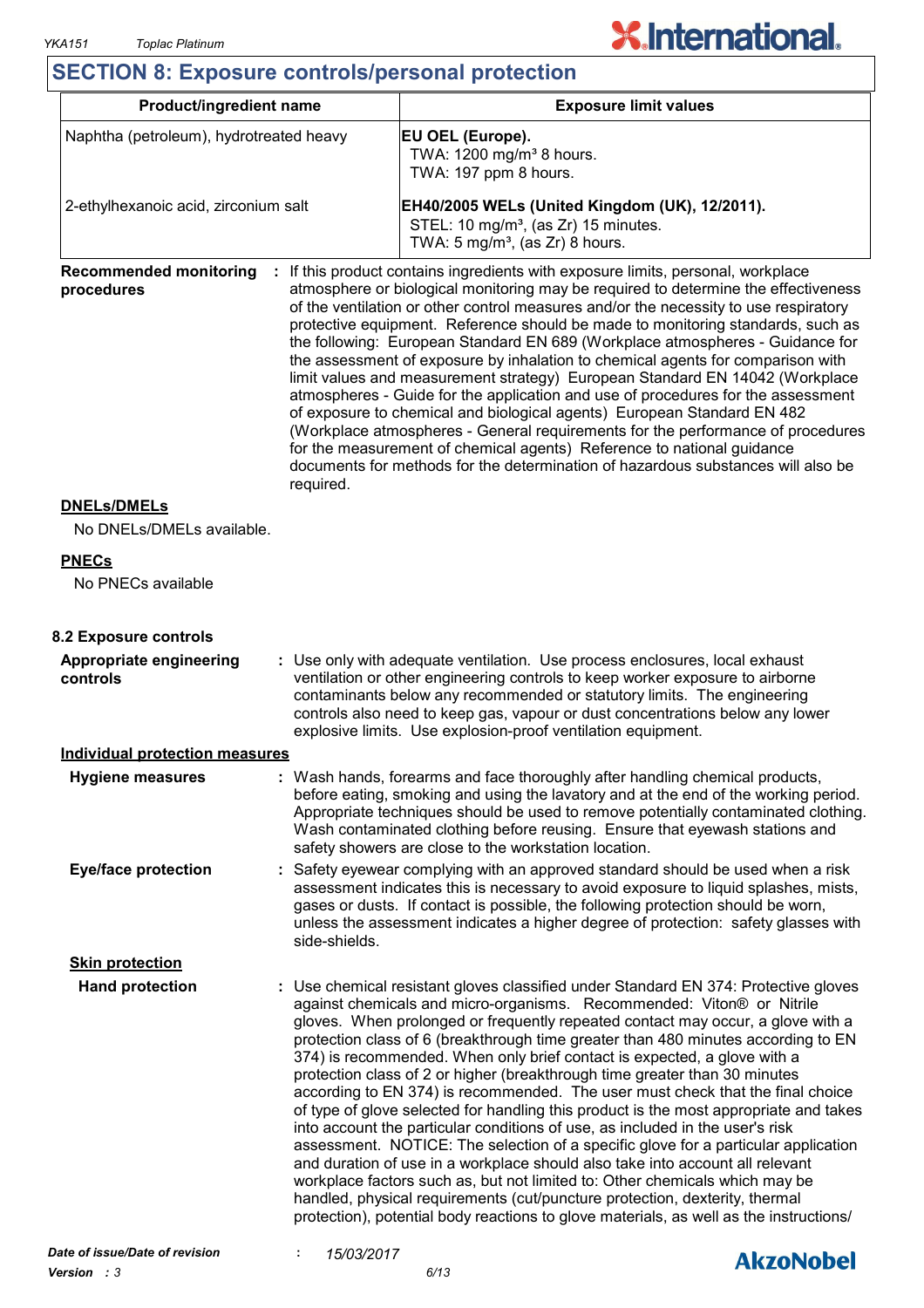## **X.International.**

### **SECTION 8: Exposure controls/personal protection**

| <b>Product/ingredient name</b>                           |               | <b>Exposure limit values</b>                                                                                                                                                                                                                                                                                                                                                                                                                                                                                                                                                                                                                                                                                                                                                                                                                                                                                                                                                                                                                                                                                                                                                              |  |  |
|----------------------------------------------------------|---------------|-------------------------------------------------------------------------------------------------------------------------------------------------------------------------------------------------------------------------------------------------------------------------------------------------------------------------------------------------------------------------------------------------------------------------------------------------------------------------------------------------------------------------------------------------------------------------------------------------------------------------------------------------------------------------------------------------------------------------------------------------------------------------------------------------------------------------------------------------------------------------------------------------------------------------------------------------------------------------------------------------------------------------------------------------------------------------------------------------------------------------------------------------------------------------------------------|--|--|
| Naphtha (petroleum), hydrotreated heavy                  |               | EU OEL (Europe).<br>TWA: 1200 mg/m <sup>3</sup> 8 hours.<br>TWA: 197 ppm 8 hours.                                                                                                                                                                                                                                                                                                                                                                                                                                                                                                                                                                                                                                                                                                                                                                                                                                                                                                                                                                                                                                                                                                         |  |  |
| 2-ethylhexanoic acid, zirconium salt                     |               | EH40/2005 WELs (United Kingdom (UK), 12/2011).<br>STEL: 10 mg/m <sup>3</sup> , (as Zr) 15 minutes.<br>TWA: $5 \text{ mg/m}^3$ , (as Zr) 8 hours.                                                                                                                                                                                                                                                                                                                                                                                                                                                                                                                                                                                                                                                                                                                                                                                                                                                                                                                                                                                                                                          |  |  |
| <b>Recommended monitoring</b><br>procedures<br>required. |               | If this product contains ingredients with exposure limits, personal, workplace<br>atmosphere or biological monitoring may be required to determine the effectiveness<br>of the ventilation or other control measures and/or the necessity to use respiratory<br>protective equipment. Reference should be made to monitoring standards, such as<br>the following: European Standard EN 689 (Workplace atmospheres - Guidance for<br>the assessment of exposure by inhalation to chemical agents for comparison with<br>limit values and measurement strategy) European Standard EN 14042 (Workplace<br>atmospheres - Guide for the application and use of procedures for the assessment<br>of exposure to chemical and biological agents) European Standard EN 482<br>(Workplace atmospheres - General requirements for the performance of procedures<br>for the measurement of chemical agents) Reference to national guidance<br>documents for methods for the determination of hazardous substances will also be                                                                                                                                                                       |  |  |
| <b>DNELs/DMELs</b><br>No DNELs/DMELs available.          |               |                                                                                                                                                                                                                                                                                                                                                                                                                                                                                                                                                                                                                                                                                                                                                                                                                                                                                                                                                                                                                                                                                                                                                                                           |  |  |
| <b>PNECs</b>                                             |               |                                                                                                                                                                                                                                                                                                                                                                                                                                                                                                                                                                                                                                                                                                                                                                                                                                                                                                                                                                                                                                                                                                                                                                                           |  |  |
| No PNECs available                                       |               |                                                                                                                                                                                                                                                                                                                                                                                                                                                                                                                                                                                                                                                                                                                                                                                                                                                                                                                                                                                                                                                                                                                                                                                           |  |  |
| 8.2 Exposure controls                                    |               |                                                                                                                                                                                                                                                                                                                                                                                                                                                                                                                                                                                                                                                                                                                                                                                                                                                                                                                                                                                                                                                                                                                                                                                           |  |  |
| Appropriate engineering<br>controls                      |               | : Use only with adequate ventilation. Use process enclosures, local exhaust<br>ventilation or other engineering controls to keep worker exposure to airborne<br>contaminants below any recommended or statutory limits. The engineering<br>controls also need to keep gas, vapour or dust concentrations below any lower<br>explosive limits. Use explosion-proof ventilation equipment.                                                                                                                                                                                                                                                                                                                                                                                                                                                                                                                                                                                                                                                                                                                                                                                                  |  |  |
| <b>Individual protection measures</b>                    |               |                                                                                                                                                                                                                                                                                                                                                                                                                                                                                                                                                                                                                                                                                                                                                                                                                                                                                                                                                                                                                                                                                                                                                                                           |  |  |
| <b>Hygiene measures</b>                                  |               | : Wash hands, forearms and face thoroughly after handling chemical products,<br>before eating, smoking and using the lavatory and at the end of the working period.<br>Appropriate techniques should be used to remove potentially contaminated clothing.<br>Wash contaminated clothing before reusing. Ensure that eyewash stations and<br>safety showers are close to the workstation location.                                                                                                                                                                                                                                                                                                                                                                                                                                                                                                                                                                                                                                                                                                                                                                                         |  |  |
| <b>Eye/face protection</b>                               | side-shields. | : Safety eyewear complying with an approved standard should be used when a risk<br>assessment indicates this is necessary to avoid exposure to liquid splashes, mists,<br>gases or dusts. If contact is possible, the following protection should be worn,<br>unless the assessment indicates a higher degree of protection: safety glasses with                                                                                                                                                                                                                                                                                                                                                                                                                                                                                                                                                                                                                                                                                                                                                                                                                                          |  |  |
| <b>Skin protection</b>                                   |               |                                                                                                                                                                                                                                                                                                                                                                                                                                                                                                                                                                                                                                                                                                                                                                                                                                                                                                                                                                                                                                                                                                                                                                                           |  |  |
| <b>Hand protection</b>                                   |               | : Use chemical resistant gloves classified under Standard EN 374: Protective gloves<br>against chemicals and micro-organisms. Recommended: Viton® or Nitrile<br>gloves. When prolonged or frequently repeated contact may occur, a glove with a<br>protection class of 6 (breakthrough time greater than 480 minutes according to EN<br>374) is recommended. When only brief contact is expected, a glove with a<br>protection class of 2 or higher (breakthrough time greater than 30 minutes<br>according to EN 374) is recommended. The user must check that the final choice<br>of type of glove selected for handling this product is the most appropriate and takes<br>into account the particular conditions of use, as included in the user's risk<br>assessment. NOTICE: The selection of a specific glove for a particular application<br>and duration of use in a workplace should also take into account all relevant<br>workplace factors such as, but not limited to: Other chemicals which may be<br>handled, physical requirements (cut/puncture protection, dexterity, thermal<br>protection), potential body reactions to glove materials, as well as the instructions/ |  |  |

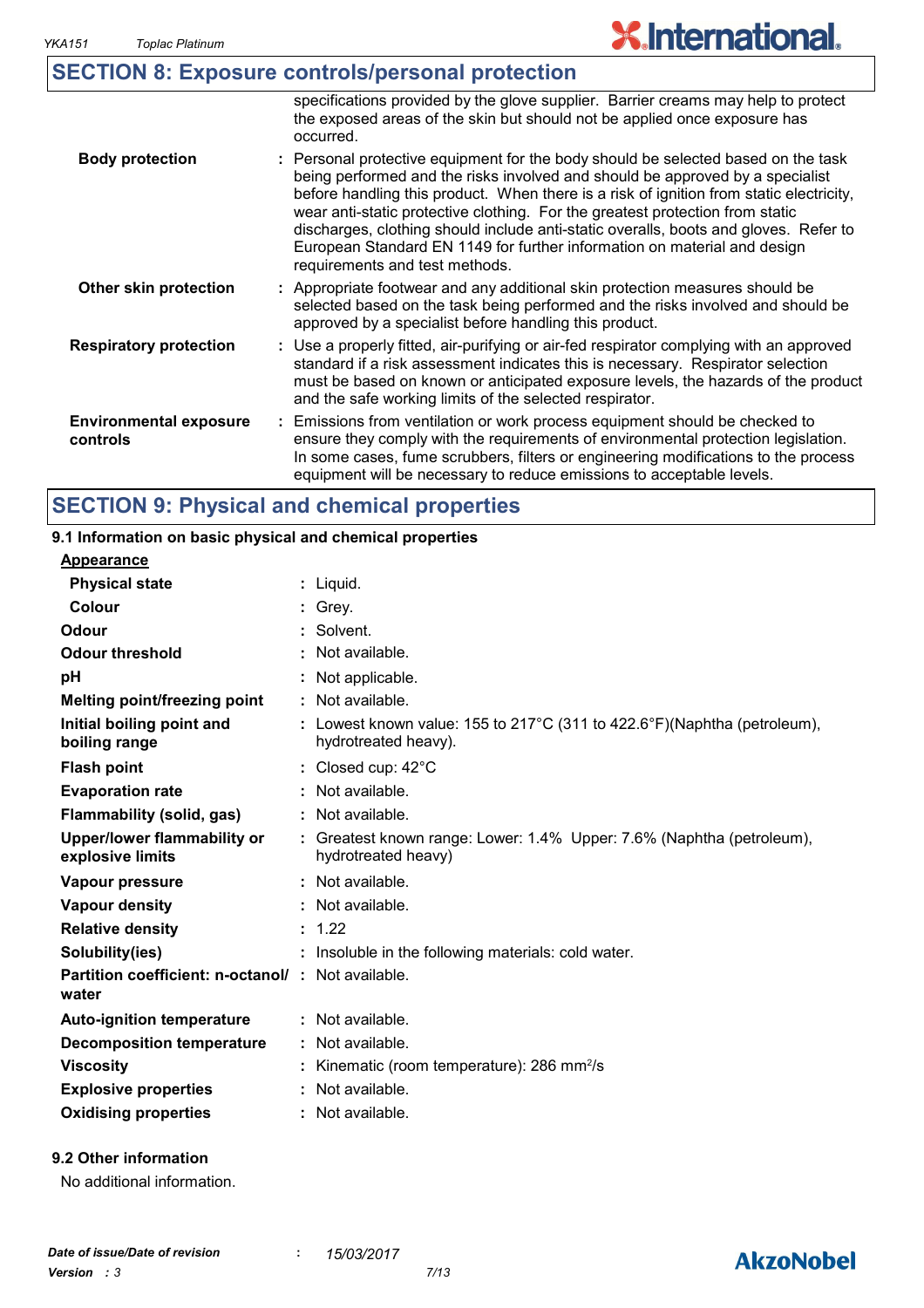**controls**

## **X.International.**

|                               | <b>SECTION 8: Exposure controls/personal protection</b>                                                                                                                                                                                                                                                                                                                                                                                                                                                                                              |
|-------------------------------|------------------------------------------------------------------------------------------------------------------------------------------------------------------------------------------------------------------------------------------------------------------------------------------------------------------------------------------------------------------------------------------------------------------------------------------------------------------------------------------------------------------------------------------------------|
|                               | specifications provided by the glove supplier. Barrier creams may help to protect<br>the exposed areas of the skin but should not be applied once exposure has<br>occurred.                                                                                                                                                                                                                                                                                                                                                                          |
| <b>Body protection</b>        | : Personal protective equipment for the body should be selected based on the task<br>being performed and the risks involved and should be approved by a specialist<br>before handling this product. When there is a risk of ignition from static electricity,<br>wear anti-static protective clothing. For the greatest protection from static<br>discharges, clothing should include anti-static overalls, boots and gloves. Refer to<br>European Standard EN 1149 for further information on material and design<br>requirements and test methods. |
| Other skin protection         | : Appropriate footwear and any additional skin protection measures should be<br>selected based on the task being performed and the risks involved and should be<br>approved by a specialist before handling this product.                                                                                                                                                                                                                                                                                                                            |
| <b>Respiratory protection</b> | : Use a properly fitted, air-purifying or air-fed respirator complying with an approved<br>standard if a risk assessment indicates this is necessary. Respirator selection<br>must be based on known or anticipated exposure levels, the hazards of the product<br>and the safe working limits of the selected respirator.                                                                                                                                                                                                                           |
| <b>Environmental exposure</b> | : Emissions from ventilation or work process equipment should be checked to                                                                                                                                                                                                                                                                                                                                                                                                                                                                          |

ensure they comply with the requirements of environmental protection legislation. In some cases, fume scrubbers, filters or engineering modifications to the process

equipment will be necessary to reduce emissions to acceptable levels.

### **SECTION 9: Physical and chemical properties**

#### Liquid. **: Appearance** Lowest known value: 155 to 217°C (311 to 422.6°F)(Naphtha (petroleum), **:** hydrotreated heavy). **Physical state Melting point/freezing point Initial boiling point and boiling range Vapour pressure Relative density Vapour density Solubility(ies)** Not available. **:** 1.22 **:** Not available. **:** Not available. **: :** Insoluble in the following materials: cold water. **Odour** Solvent. **pH Colour** : Grey. **Evaporation rate Flash point** Closed cup: 42°C **:** Greatest known range: Lower: 1.4% Upper: 7.6% (Naphtha (petroleum), **:** hydrotreated heavy) Not applicable. **: Odour threshold Upper/lower flammability or explosive limits : : 9.1 Information on basic physical and chemical properties Flammability (solid, gas) :** Not available.

| <b>Partition coefficient: n-octanol/: Not available.</b><br>water |                                                        |
|-------------------------------------------------------------------|--------------------------------------------------------|
| <b>Auto-ignition temperature</b>                                  | $\therefore$ Not available.                            |
| Decomposition temperature                                         | $\therefore$ Not available.                            |
| <b>Viscosity</b>                                                  | : Kinematic (room temperature): 286 mm <sup>2</sup> /s |
| <b>Explosive properties</b>                                       | : Not available.                                       |
| <b>Oxidising properties</b>                                       | : Not available.                                       |

### **9.2 Other information**

No additional information.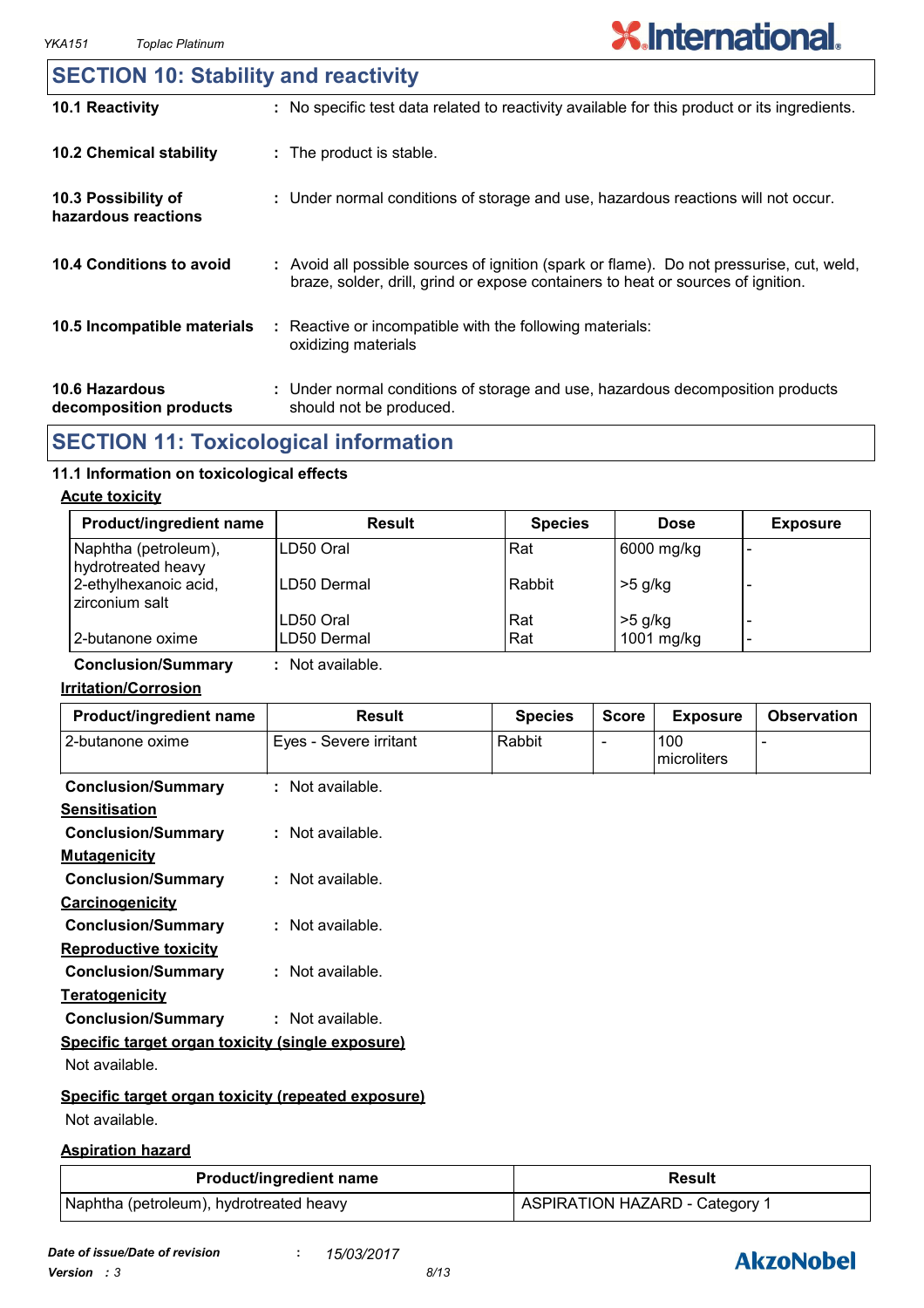### **SECTION 10: Stability and reactivity**

| 10.1 Reactivity                                 | : No specific test data related to reactivity available for this product or its ingredients.                                                                                 |
|-------------------------------------------------|------------------------------------------------------------------------------------------------------------------------------------------------------------------------------|
| <b>10.2 Chemical stability</b>                  | : The product is stable.                                                                                                                                                     |
| 10.3 Possibility of<br>hazardous reactions      | : Under normal conditions of storage and use, hazardous reactions will not occur.                                                                                            |
| 10.4 Conditions to avoid                        | : Avoid all possible sources of ignition (spark or flame). Do not pressurise, cut, weld,<br>braze, solder, drill, grind or expose containers to heat or sources of ignition. |
| 10.5 Incompatible materials                     | : Reactive or incompatible with the following materials:<br>oxidizing materials                                                                                              |
| <b>10.6 Hazardous</b><br>decomposition products | : Under normal conditions of storage and use, hazardous decomposition products<br>should not be produced.                                                                    |

### **SECTION 11: Toxicological information**

### **11.1 Information on toxicological effects**

#### **Acute toxicity**

| <b>Product/ingredient name</b>             | <b>Result</b> | <b>Species</b> | <b>Dose</b> | <b>Exposure</b> |
|--------------------------------------------|---------------|----------------|-------------|-----------------|
| Naphtha (petroleum),<br>hydrotreated heavy | LD50 Oral     | Rat            | 6000 mg/kg  | -               |
| 2-ethylhexanoic acid,<br>zirconium salt    | LD50 Dermal   | Rabbit         | $>5$ g/kg   |                 |
|                                            | LD50 Oral     | Rat            | $>5$ g/kg   |                 |
| 2-butanone oxime                           | LD50 Dermal   | Rat            | 1001 mg/kg  | -               |

**Conclusion/Summary :** Not available.

### **Irritation/Corrosion**

| Product/ingredient name                            | <b>Result</b>          | <b>Species</b> | <b>Score</b> | <b>Exposure</b>    | <b>Observation</b> |
|----------------------------------------------------|------------------------|----------------|--------------|--------------------|--------------------|
| 2-butanone oxime                                   | Eyes - Severe irritant | Rabbit         |              | 100<br>microliters |                    |
| <b>Conclusion/Summary</b>                          | $:$ Not available.     |                |              |                    |                    |
| <b>Sensitisation</b>                               |                        |                |              |                    |                    |
| <b>Conclusion/Summary</b>                          | : Not available.       |                |              |                    |                    |
| <b>Mutagenicity</b>                                |                        |                |              |                    |                    |
| <b>Conclusion/Summary</b>                          | : Not available.       |                |              |                    |                    |
| <b>Carcinogenicity</b>                             |                        |                |              |                    |                    |
| <b>Conclusion/Summary</b>                          | : Not available.       |                |              |                    |                    |
| <b>Reproductive toxicity</b>                       |                        |                |              |                    |                    |
| <b>Conclusion/Summary</b>                          | : Not available.       |                |              |                    |                    |
| <b>Teratogenicity</b>                              |                        |                |              |                    |                    |
| <b>Conclusion/Summary</b>                          | : Not available.       |                |              |                    |                    |
| Specific target organ toxicity (single exposure)   |                        |                |              |                    |                    |
| Not available.                                     |                        |                |              |                    |                    |
| Specific target organ toxicity (repeated exposure) |                        |                |              |                    |                    |
| Not available.                                     |                        |                |              |                    |                    |

### **Aspiration hazard**

| <b>Product/ingredient name</b>          | <b>Result</b>                  |
|-----------------------------------------|--------------------------------|
| Naphtha (petroleum), hydrotreated heavy | ASPIRATION HAZARD - Category 1 |

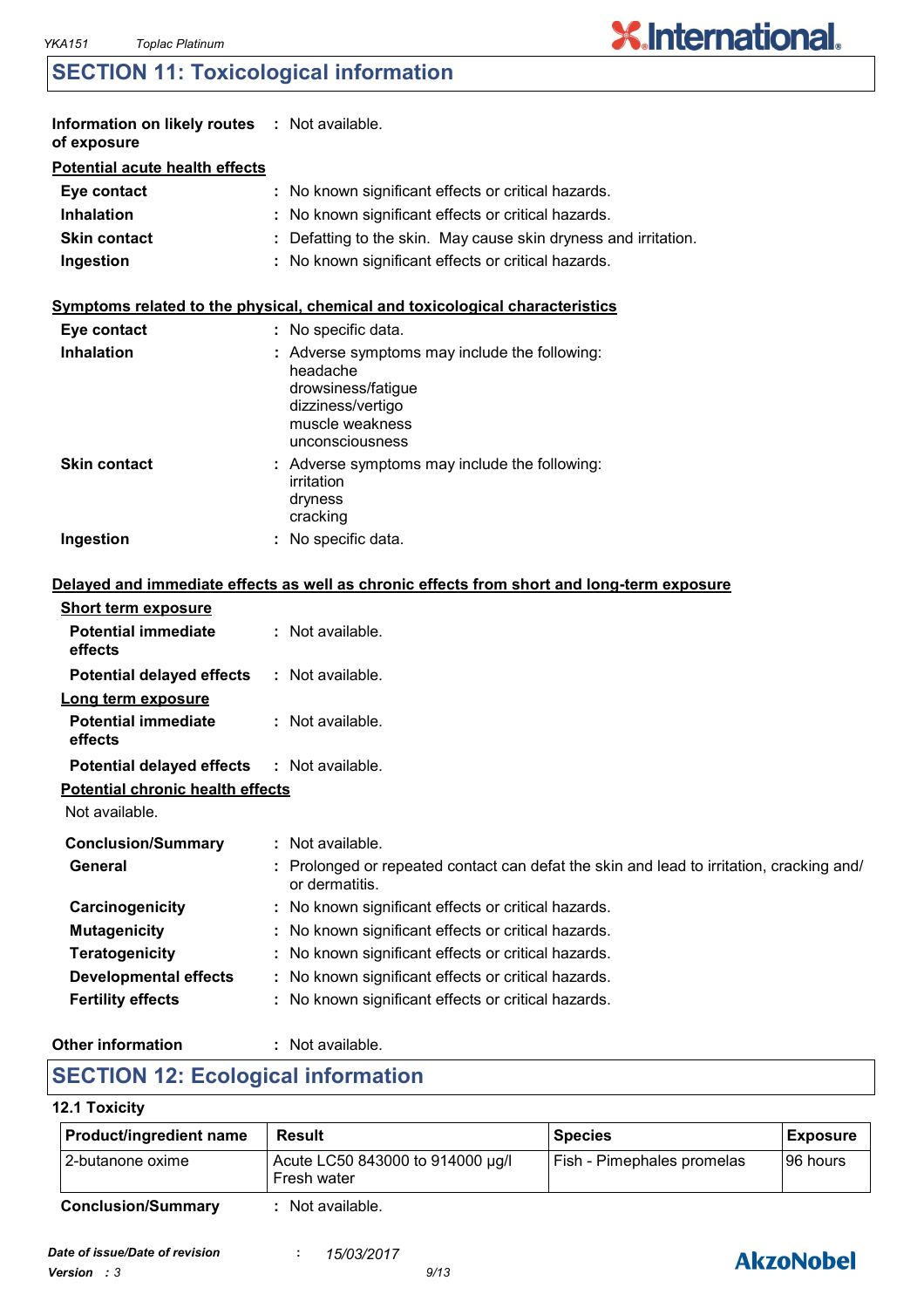## **SECTION 11: Toxicological information**

| Information on likely routes : Not available.<br>of exposure |                                                                                                                                          |
|--------------------------------------------------------------|------------------------------------------------------------------------------------------------------------------------------------------|
| <b>Potential acute health effects</b>                        |                                                                                                                                          |
| Eye contact                                                  | : No known significant effects or critical hazards.                                                                                      |
| <b>Inhalation</b>                                            | : No known significant effects or critical hazards.                                                                                      |
| <b>Skin contact</b>                                          | : Defatting to the skin. May cause skin dryness and irritation.                                                                          |
| Ingestion                                                    | : No known significant effects or critical hazards.                                                                                      |
|                                                              | Symptoms related to the physical, chemical and toxicological characteristics                                                             |
| Eye contact                                                  | : No specific data.                                                                                                                      |
| <b>Inhalation</b>                                            | Adverse symptoms may include the following:<br>headache<br>drowsiness/fatigue<br>dizziness/vertigo<br>muscle weakness<br>unconsciousness |
| <b>Skin contact</b>                                          | : Adverse symptoms may include the following:<br>irritation<br>dryness<br>cracking                                                       |
| Ingestion                                                    | : No specific data.                                                                                                                      |
|                                                              | Delayed and immediate effects as well as chronic effects from short and long-term exposure                                               |
| <b>Short term exposure</b>                                   |                                                                                                                                          |
| <b>Potential immediate</b><br>effects                        | : Not available.                                                                                                                         |
| <b>Potential delayed effects</b>                             | : Not available.                                                                                                                         |
| Long term exposure<br><b>Potential immediate</b><br>effects  | : Not available.                                                                                                                         |
| <b>Potential delayed effects</b>                             | $:$ Not available.                                                                                                                       |
| <b>Potential chronic health effects</b>                      |                                                                                                                                          |
| Not available.                                               |                                                                                                                                          |
| <b>Conclusion/Summary</b>                                    | : Not available.                                                                                                                         |
| <b>General</b>                                               | : Prolonged or repeated contact can defat the skin and lead to irritation, cracking and/<br>or dermatitis.                               |
| Carcinogenicity                                              | No known significant effects or critical hazards.                                                                                        |
| <b>Mutagenicity</b>                                          | No known significant effects or critical hazards.                                                                                        |
| <b>Teratogenicity</b>                                        | No known significant effects or critical hazards.                                                                                        |
| <b>Developmental effects</b>                                 | No known significant effects or critical hazards.                                                                                        |
| <b>Fertility effects</b>                                     | No known significant effects or critical hazards.                                                                                        |
|                                                              |                                                                                                                                          |

#### **Other information :**

: Not available.

### **SECTION 12: Ecological information**

### **12.1 Toxicity**

| Product/ingredient name   | Result                                          | <b>Species</b>             | <b>Exposure</b> |
|---------------------------|-------------------------------------------------|----------------------------|-----------------|
| I 2-butanone oxime        | Acute LC50 843000 to 914000 µg/l<br>Fresh water | Fish - Pimephales promelas | 96 hours        |
| <b>Conclusion/Summary</b> | Not available.                                  |                            |                 |



**X.International.**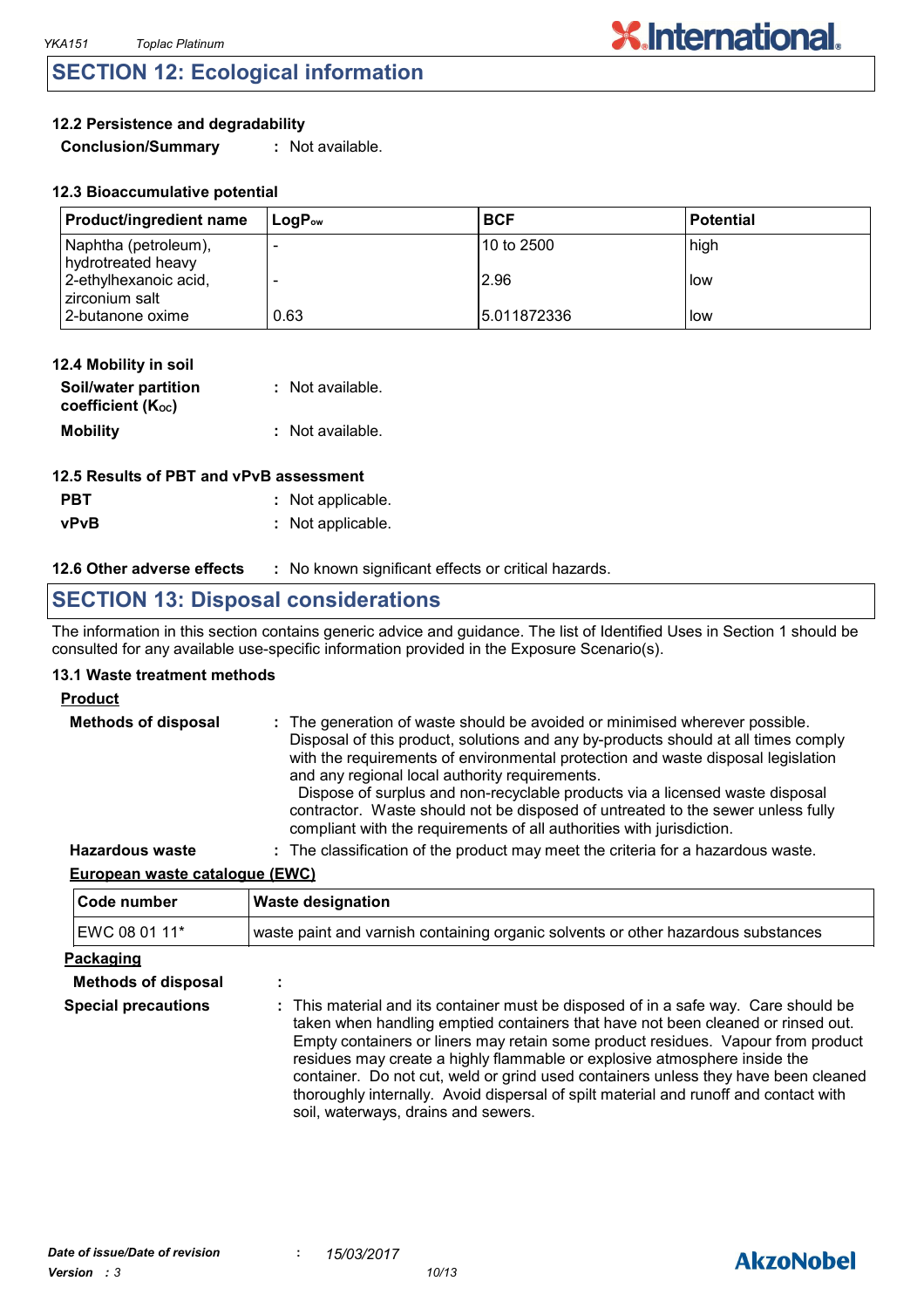### **SECTION 12: Ecological information**

### **12.2 Persistence and degradability**

**Conclusion/Summary :** Not available.

| <b>Product/ingredient name</b>             | $\mathsf{Loa}\mathsf{P}_\mathsf{ow}$ | <b>BCF</b>   | l Potential |
|--------------------------------------------|--------------------------------------|--------------|-------------|
| Naphtha (petroleum),<br>hydrotreated heavy |                                      | 10 to 2500   | high        |
| 2-ethylhexanoic acid,<br>zirconium salt    |                                      | 2.96         | l low       |
| 2-butanone oxime                           | 0.63                                 | 15.011872336 | llow        |

| 12.4 Mobility in soil                     |                  |
|-------------------------------------------|------------------|
| Soil/water partition<br>coefficient (Koc) | : Not available. |
| <b>Mobility</b>                           | : Not available. |

| 12.5 Results of PBT and vPvB assessment |                   |  |
|-----------------------------------------|-------------------|--|
| <b>PBT</b>                              | : Not applicable. |  |
| <b>vPvB</b>                             | : Not applicable. |  |

#### **12.6 Other adverse effects** : No known significant effects or critical hazards.

### **SECTION 13: Disposal considerations**

The information in this section contains generic advice and guidance. The list of Identified Uses in Section 1 should be consulted for any available use-specific information provided in the Exposure Scenario(s).

#### **13.1 Waste treatment methods**

#### **Product**

| <b>Methods of disposal</b> | : The generation of waste should be avoided or minimised wherever possible.<br>Disposal of this product, solutions and any by-products should at all times comply<br>with the requirements of environmental protection and waste disposal legislation<br>and any regional local authority requirements.<br>Dispose of surplus and non-recyclable products via a licensed waste disposal<br>contractor. Waste should not be disposed of untreated to the sewer unless fully<br>compliant with the requirements of all authorities with jurisdiction. |
|----------------------------|-----------------------------------------------------------------------------------------------------------------------------------------------------------------------------------------------------------------------------------------------------------------------------------------------------------------------------------------------------------------------------------------------------------------------------------------------------------------------------------------------------------------------------------------------------|
| <b>Hazardous waste</b>     | : The classification of the product may meet the criteria for a hazardous waste.                                                                                                                                                                                                                                                                                                                                                                                                                                                                    |

#### **European waste catalogue (EWC)**

| Code number                | <b>Waste designation</b>                                                                                                                                                                                                                                                                                                                                                                                                                                                                                                                                      |  |  |  |
|----------------------------|---------------------------------------------------------------------------------------------------------------------------------------------------------------------------------------------------------------------------------------------------------------------------------------------------------------------------------------------------------------------------------------------------------------------------------------------------------------------------------------------------------------------------------------------------------------|--|--|--|
| EWC 08 01 11*              | waste paint and varnish containing organic solvents or other hazardous substances                                                                                                                                                                                                                                                                                                                                                                                                                                                                             |  |  |  |
| Packaging                  |                                                                                                                                                                                                                                                                                                                                                                                                                                                                                                                                                               |  |  |  |
| <b>Methods of disposal</b> | ٠                                                                                                                                                                                                                                                                                                                                                                                                                                                                                                                                                             |  |  |  |
| <b>Special precautions</b> | : This material and its container must be disposed of in a safe way. Care should be<br>taken when handling emptied containers that have not been cleaned or rinsed out.<br>Empty containers or liners may retain some product residues. Vapour from product<br>residues may create a highly flammable or explosive atmosphere inside the<br>container. Do not cut, weld or grind used containers unless they have been cleaned<br>thoroughly internally. Avoid dispersal of spilt material and runoff and contact with<br>soil, waterways, drains and sewers. |  |  |  |

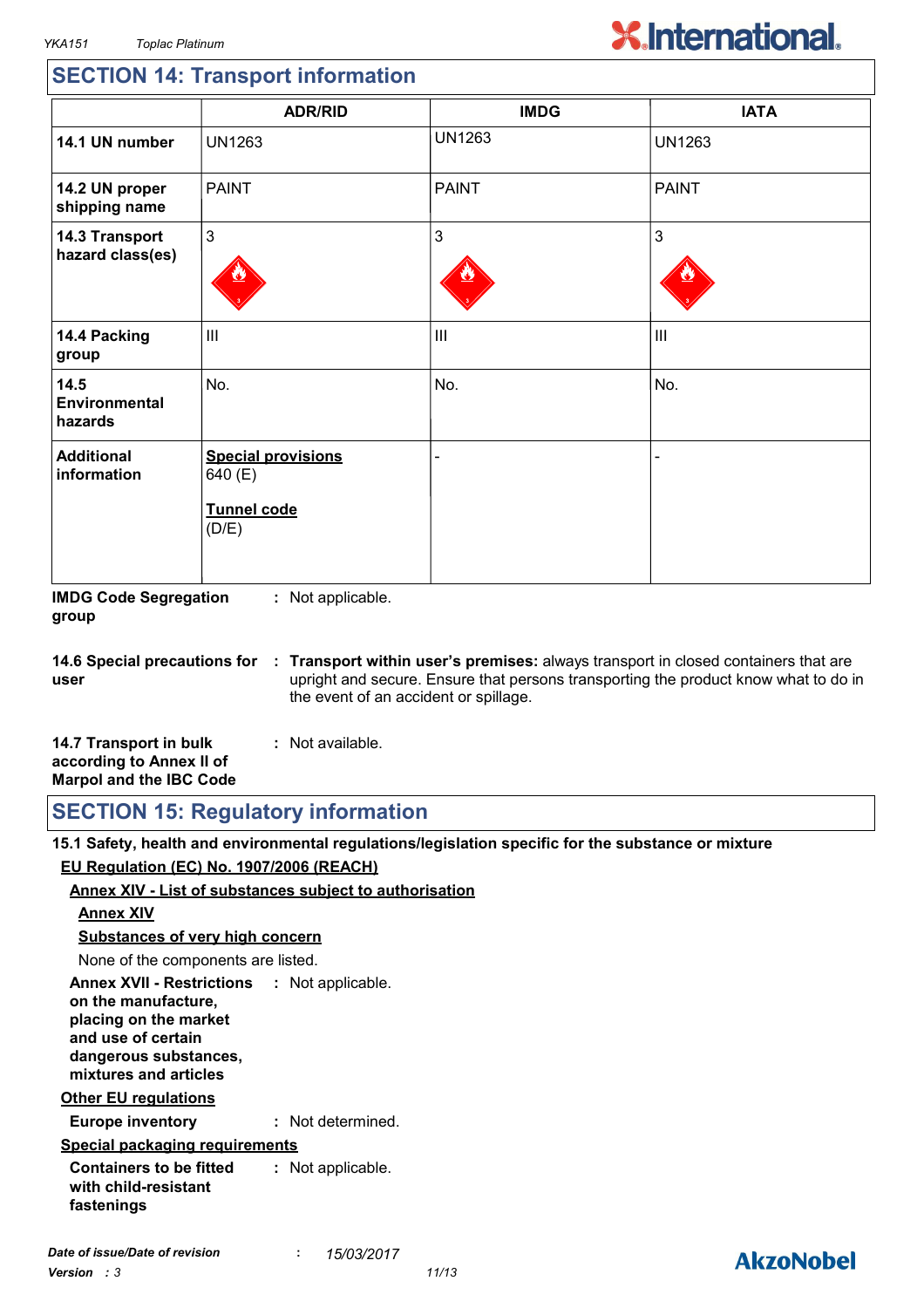# **X.International.**

### **SECTION 14: Transport information**

|                                    | <b>ADR/RID</b>                                                      | <b>IMDG</b>   | <b>IATA</b>    |
|------------------------------------|---------------------------------------------------------------------|---------------|----------------|
| 14.1 UN number                     | <b>UN1263</b>                                                       | <b>UN1263</b> | <b>UN1263</b>  |
| 14.2 UN proper<br>shipping name    | <b>PAINT</b>                                                        | <b>PAINT</b>  | <b>PAINT</b>   |
| 14.3 Transport<br>hazard class(es) | 3                                                                   | 3             | 3              |
| 14.4 Packing<br>group              | $\mathbf{III}$                                                      | III           | $\mathbf{III}$ |
| 14.5<br>Environmental<br>hazards   | No.                                                                 | No.           | No.            |
| <b>Additional</b><br>information   | <b>Special provisions</b><br>640 (E)<br><b>Tunnel code</b><br>(D/E) |               |                |

**IMDG Code Segregation group :** Not applicable.

**14.6 Special precautions for user Transport within user's premises:** always transport in closed containers that are **:** upright and secure. Ensure that persons transporting the product know what to do in the event of an accident or spillage.

| 14.7 Transport in bulk         | : Not available. |  |
|--------------------------------|------------------|--|
| according to Annex II of       |                  |  |
| <b>Marpol and the IBC Code</b> |                  |  |

**SECTION 15: Regulatory information**

**15.1 Safety, health and environmental regulations/legislation specific for the substance or mixture EU Regulation (EC) No. 1907/2006 (REACH)**

### **Annex XIV - List of substances subject to authorisation**

#### **Annex XIV**

**Substances of very high concern**

None of the components are listed.

**Annex XVII - Restrictions : Not applicable. on the manufacture, placing on the market and use of certain dangerous substances, mixtures and articles**

#### **Other EU regulations**

**Europe inventory :** Not determined.

### **Special packaging requirements**

**Containers to be fitted with child-resistant fastenings :** Not applicable.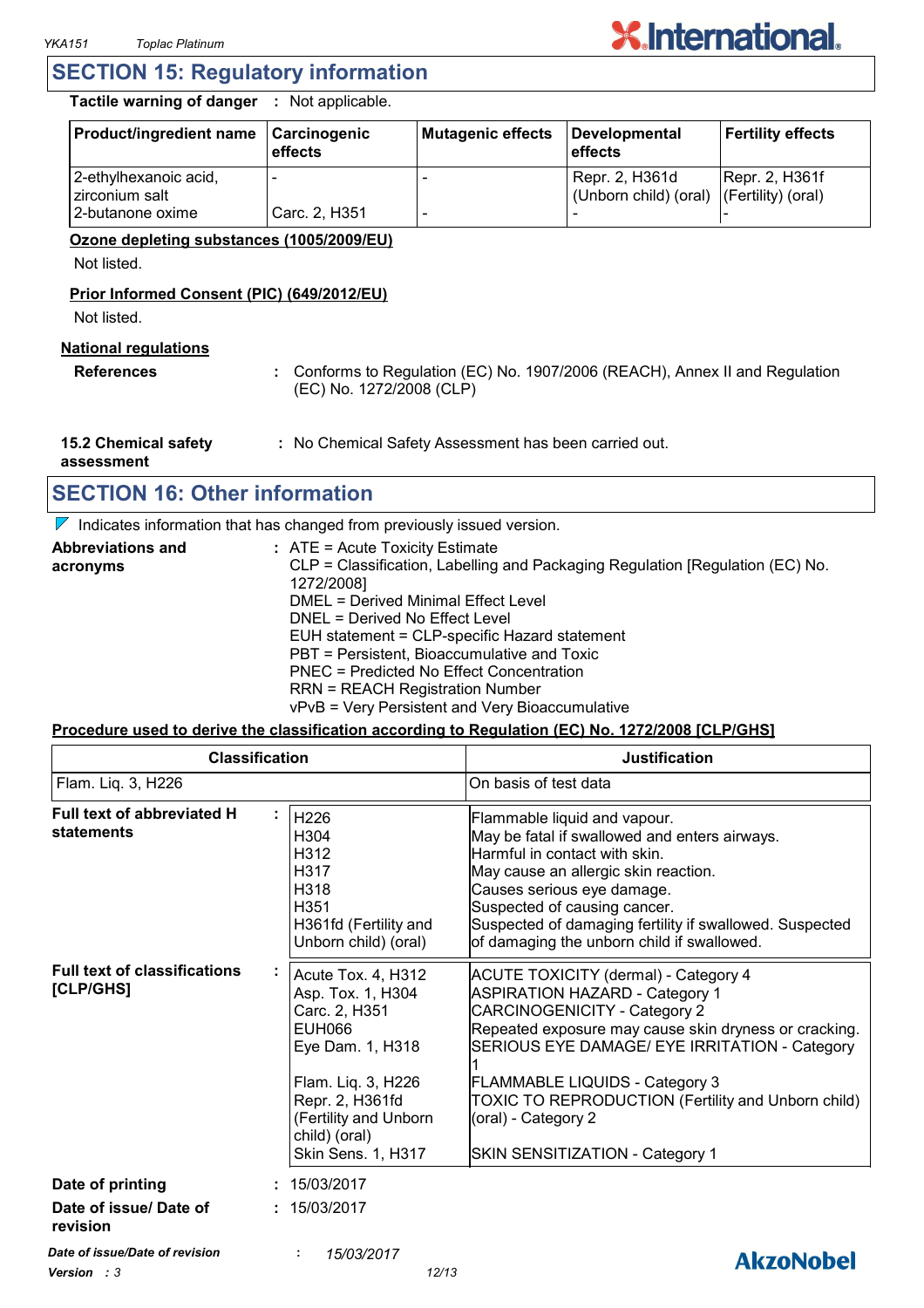

### **SECTION 15: Regulatory information**

**Tactile warning of danger :** Not applicable.

| <b>Product/ingredient name</b>          | <b>Carcinogenic</b><br>effects | Mutagenic effects | Developmental<br>l effects                                 | <b>Fertility effects</b> |
|-----------------------------------------|--------------------------------|-------------------|------------------------------------------------------------|--------------------------|
| 2-ethylhexanoic acid,<br>zirconium salt |                                |                   | Repr. 2, H361d<br>(Unborn child) (oral) (Fertility) (oral) | <b>Repr. 2, H361f</b>    |
| 2-butanone oxime                        | Carc. 2, H351                  |                   |                                                            |                          |

#### **Ozone depleting substances (1005/2009/EU)**

Not listed.

#### **Prior Informed Consent (PIC) (649/2012/EU)**

Not listed.

### **National regulations**

**References :** Conforms to Regulation (EC) No. 1907/2006 (REACH), Annex II and Regulation (EC) No. 1272/2008 (CLP)

**15.2 Chemical safety :** No Chemical Safety Assessment has been carried out.

**assessment**

### **SECTION 16: Other information**

 $\nabla$  Indicates information that has changed from previously issued version.

| <b>Abbreviations and</b> | $:$ ATE = Acute Toxicity Estimate                                             |
|--------------------------|-------------------------------------------------------------------------------|
| acronyms                 | CLP = Classification, Labelling and Packaging Regulation [Regulation (EC) No. |
|                          | 1272/2008]                                                                    |
|                          | DMEL = Derived Minimal Effect Level                                           |
|                          | DNEL = Derived No Effect Level                                                |
|                          | EUH statement = CLP-specific Hazard statement                                 |
|                          | PBT = Persistent, Bioaccumulative and Toxic                                   |
|                          | PNEC = Predicted No Effect Concentration                                      |
|                          | <b>RRN = REACH Registration Number</b>                                        |
|                          | vPvB = Very Persistent and Very Bioaccumulative                               |

#### **Procedure used to derive the classification according to Regulation (EC) No. 1272/2008 [CLP/GHS]**

| <b>Classification</b><br>Flam. Liq. 3, H226               |                                                                                                                                                                                                        | <b>Justification</b><br>On basis of test data                                                                                                                                                                                                                                                                                                                                           |  |
|-----------------------------------------------------------|--------------------------------------------------------------------------------------------------------------------------------------------------------------------------------------------------------|-----------------------------------------------------------------------------------------------------------------------------------------------------------------------------------------------------------------------------------------------------------------------------------------------------------------------------------------------------------------------------------------|--|
|                                                           |                                                                                                                                                                                                        |                                                                                                                                                                                                                                                                                                                                                                                         |  |
| <b>Full text of classifications</b><br>[CLP/GHS]          | Acute Tox. 4, H312<br>Asp. Tox. 1, H304<br>Carc. 2, H351<br><b>EUH066</b><br>Eye Dam. 1, H318<br>Flam. Liq. 3, H226<br>Repr. 2, H361fd<br>(Fertility and Unborn<br>child) (oral)<br>Skin Sens. 1, H317 | <b>ACUTE TOXICITY (dermal) - Category 4</b><br><b>ASPIRATION HAZARD - Category 1</b><br><b>CARCINOGENICITY - Category 2</b><br>Repeated exposure may cause skin dryness or cracking.<br>SERIOUS EYE DAMAGE/ EYE IRRITATION - Category<br>FLAMMABLE LIQUIDS - Category 3<br>TOXIC TO REPRODUCTION (Fertility and Unborn child)<br>(oral) - Category 2<br>SKIN SENSITIZATION - Category 1 |  |
| Date of printing<br>Date of issue/ Date of                | : 15/03/2017<br>: 15/03/2017                                                                                                                                                                           |                                                                                                                                                                                                                                                                                                                                                                                         |  |
| revision<br>Date of issue/Date of revision<br>Version : 3 | 15/03/2017<br>12/13                                                                                                                                                                                    | <b>AkzoNobel</b>                                                                                                                                                                                                                                                                                                                                                                        |  |